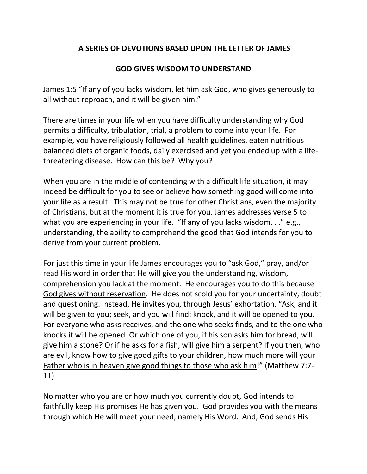## **A SERIES OF DEVOTIONS BASED UPON THE LETTER OF JAMES**

## **GOD GIVES WISDOM TO UNDERSTAND**

James 1:5 "If any of you lacks wisdom, let him ask God, who gives generously to all without reproach, and it will be given him."

There are times in your life when you have difficulty understanding why God permits a difficulty, tribulation, trial, a problem to come into your life. For example, you have religiously followed all health guidelines, eaten nutritious balanced diets of organic foods, daily exercised and yet you ended up with a lifethreatening disease. How can this be? Why you?

When you are in the middle of contending with a difficult life situation, it may indeed be difficult for you to see or believe how something good will come into your life as a result. This may not be true for other Christians, even the majority of Christians, but at the moment it is true for you. James addresses verse 5 to what you are experiencing in your life. "If any of you lacks wisdom..." e.g., understanding, the ability to comprehend the good that God intends for you to derive from your current problem.

For just this time in your life James encourages you to "ask God," pray, and/or read His word in order that He will give you the understanding, wisdom, comprehension you lack at the moment. He encourages you to do this because God gives without reservation. He does not scold you for your uncertainty, doubt and questioning. Instead, He invites you, through Jesus' exhortation, "Ask, and it will be given to you; seek, and you will find; knock, and it will be opened to you. For everyone who asks receives, and the one who seeks finds, and to the one who knocks it will be opened. Or which one of you, if his son asks him for bread, will give him a stone? Or if he asks for a fish, will give him a serpent? If you then, who are evil, know how to give good gifts to your children, how much more will your Father who is in heaven give good things to those who ask him!" (Matthew 7:7- 11)

No matter who you are or how much you currently doubt, God intends to faithfully keep His promises He has given you. God provides you with the means through which He will meet your need, namely His Word. And, God sends His